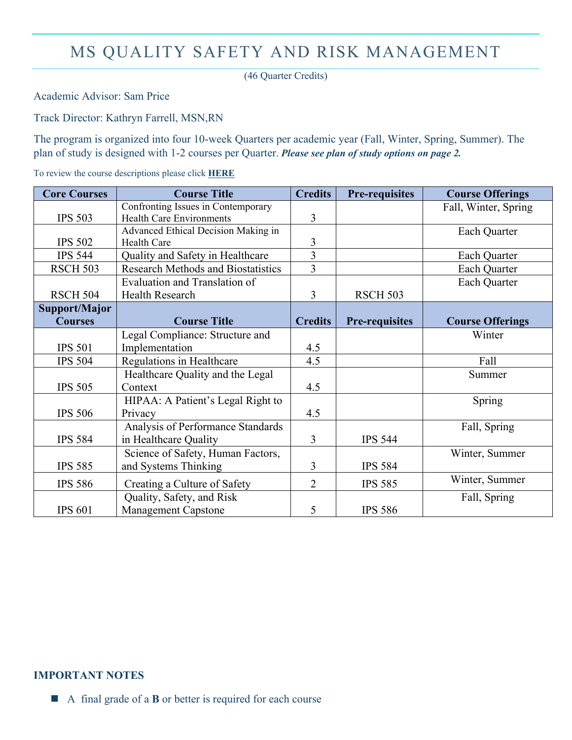## MS QUALITY SAFETY AND RISK MANAGEMENT

(46 Quarter Credits)

Academic Advisor: Sam Price

Track Director: Kathryn Farrell, MSN,RN

The program is organized into four 10-week Quarters per academic year (Fall, Winter, Spring, Summer). The plan of study is designed with 1-2 courses per Quarter. *Please see plan of study options on page 2.* 

To review the course descriptions please click **[HERE](http://catalog.drexel.edu/graduate/collegeofnursingandhealthprofessions/nursingleadershipinhealthsystemsmanagementcon/#degreerequirementstext)**

| <b>Core Courses</b> | <b>Course Title</b>                       | <b>Credits</b> | <b>Pre-requisites</b> | <b>Course Offerings</b> |
|---------------------|-------------------------------------------|----------------|-----------------------|-------------------------|
|                     | Confronting Issues in Contemporary        |                |                       | Fall, Winter, Spring    |
| <b>IPS 503</b>      | <b>Health Care Environments</b>           | 3              |                       |                         |
|                     | Advanced Ethical Decision Making in       |                |                       | Each Quarter            |
| <b>IPS 502</b>      | <b>Health Care</b>                        | 3              |                       |                         |
| <b>IPS 544</b>      | Quality and Safety in Healthcare          | $\overline{3}$ |                       | Each Quarter            |
| <b>RSCH 503</b>     | <b>Research Methods and Biostatistics</b> | $\overline{3}$ |                       | Each Quarter            |
|                     | Evaluation and Translation of             |                |                       | Each Quarter            |
| <b>RSCH 504</b>     | <b>Health Research</b>                    | 3              | <b>RSCH 503</b>       |                         |
| Support/Major       |                                           |                |                       |                         |
| <b>Courses</b>      | <b>Course Title</b>                       | <b>Credits</b> | <b>Pre-requisites</b> | <b>Course Offerings</b> |
|                     | Legal Compliance: Structure and           |                |                       | Winter                  |
| <b>IPS 501</b>      | Implementation                            | 4.5            |                       |                         |
| <b>IPS 504</b>      | Regulations in Healthcare                 | 4.5            |                       | Fall                    |
|                     | Healthcare Quality and the Legal          |                |                       | Summer                  |
| <b>IPS 505</b>      | Context                                   | 4.5            |                       |                         |
|                     | HIPAA: A Patient's Legal Right to         |                |                       | Spring                  |
| <b>IPS 506</b>      | Privacy                                   | 4.5            |                       |                         |
|                     | Analysis of Performance Standards         |                |                       | Fall, Spring            |
| <b>IPS 584</b>      | in Healthcare Quality                     | 3              | <b>IPS 544</b>        |                         |
|                     | Science of Safety, Human Factors,         |                |                       | Winter, Summer          |
| <b>IPS 585</b>      | and Systems Thinking                      | 3              | <b>IPS 584</b>        |                         |
| <b>IPS 586</b>      | Creating a Culture of Safety              | $\overline{2}$ | <b>IPS 585</b>        | Winter, Summer          |
|                     | Quality, Safety, and Risk                 |                |                       | Fall, Spring            |
| <b>IPS 601</b>      | <b>Management Capstone</b>                | 5              | <b>IPS 586</b>        |                         |

## **IMPORTANT NOTES**

■ A final grade of a **B** or better is required for each course